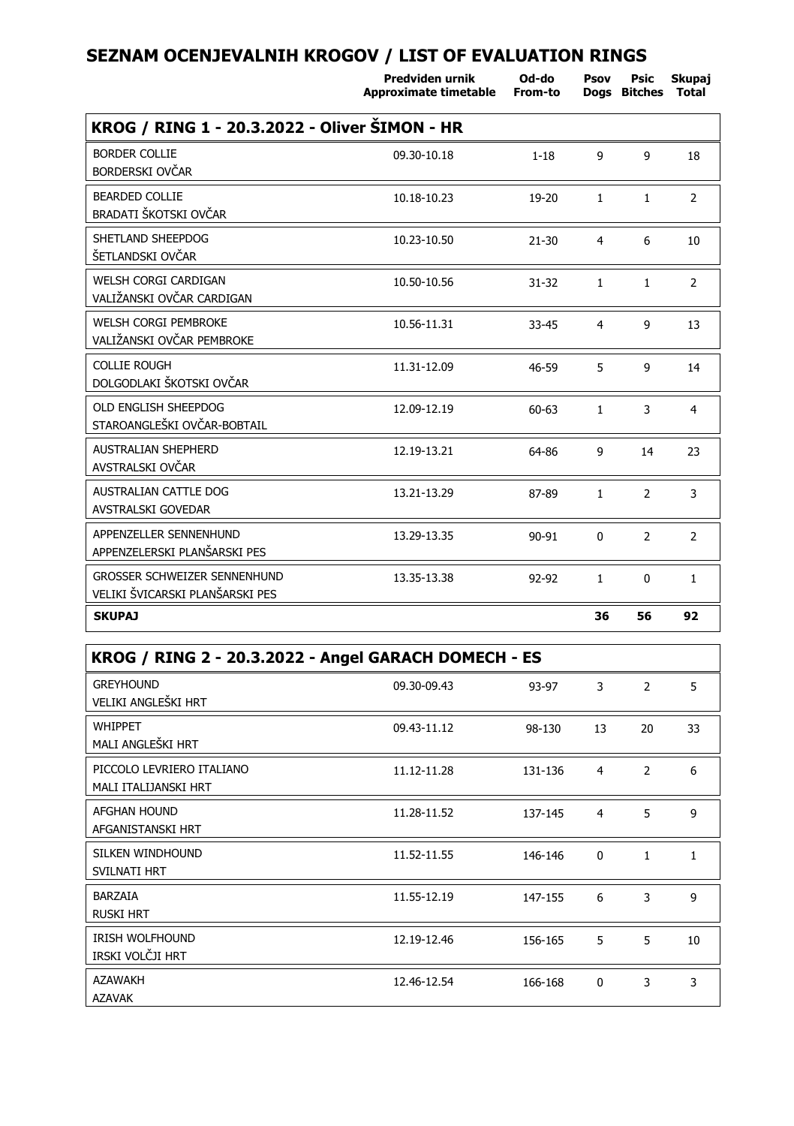|                                                                        | Predviden urnik<br>Approximate timetable | Od-do<br>From-to | Psov         | Psic<br>Dogs Bitches | Skupaj<br>Total |
|------------------------------------------------------------------------|------------------------------------------|------------------|--------------|----------------------|-----------------|
| KROG / RING 1 - 20.3.2022 - Oliver SIMON - HR                          |                                          |                  |              |                      |                 |
| <b>BORDER COLLIE</b><br>BORDERSKI OVČAR                                | 09.30-10.18                              | $1 - 18$         | 9            | 9                    | 18              |
| <b>BEARDED COLLIE</b><br>BRADATI ŠKOTSKI OVČAR                         | 10.18-10.23                              | 19-20            | $\mathbf{1}$ | $\mathbf{1}$         | $\overline{2}$  |
| SHETLAND SHEEPDOG<br>ŠETLANDSKI OVČAR                                  | 10.23-10.50                              | $21 - 30$        | 4            | 6                    | 10              |
| <b>WELSH CORGI CARDIGAN</b><br>VALIŽANSKI OVČAR CARDIGAN               | 10.50-10.56                              | $31 - 32$        | $\mathbf{1}$ | $\mathbf{1}$         | $\overline{2}$  |
| <b>WELSH CORGI PEMBROKE</b><br>VALIŽANSKI OVČAR PEMBROKE               | 10.56-11.31                              | $33 - 45$        | 4            | 9                    | 13              |
| <b>COLLIE ROUGH</b><br>DOLGODLAKI ŠKOTSKI OVČAR                        | 11.31-12.09                              | 46-59            | 5            | 9                    | 14              |
| OLD ENGLISH SHEEPDOG<br>STAROANGLEŠKI OVČAR-BOBTAIL                    | 12.09-12.19                              | $60 - 63$        | $\mathbf{1}$ | 3                    | $\overline{4}$  |
| <b>AUSTRALIAN SHEPHERD</b><br>AVSTRALSKI OVČAR                         | 12.19-13.21                              | 64-86            | 9            | 14                   | 23              |
| AUSTRALIAN CATTLE DOG<br><b>AVSTRALSKI GOVEDAR</b>                     | 13.21-13.29                              | 87-89            | $\mathbf{1}$ | $\overline{2}$       | 3               |
| APPENZELLER SENNENHUND<br>APPENZELERSKI PLANŠARSKI PES                 | 13.29-13.35                              | $90 - 91$        | $\mathbf{0}$ | $\overline{2}$       | $\overline{2}$  |
| <b>GROSSER SCHWEIZER SENNENHUND</b><br>VELIKI ŠVICARSKI PLANŠARSKI PES | 13.35-13.38                              | 92-92            | $\mathbf{1}$ | $\mathbf 0$          | $\mathbf{1}$    |
| <b>SKUPAJ</b>                                                          |                                          |                  | 36           | 56                   | 92              |

| KROG / RING 2 - 20.3.2022 - Angel GARACH DOMECH - ES |             |         |          |              |              |  |  |
|------------------------------------------------------|-------------|---------|----------|--------------|--------------|--|--|
| <b>GREYHOUND</b><br>VELIKI ANGLEŠKI HRT              | 09.30-09.43 | 93-97   | 3        | 2            | 5            |  |  |
| <b>WHIPPET</b><br>MALI ANGLEŠKI HRT                  | 09.43-11.12 | 98-130  | 13       | 20           | 33           |  |  |
| PICCOLO LEVRIERO ITALIANO<br>MALI ITALIJANSKI HRT    | 11.12-11.28 | 131-136 | 4        | 2            | 6            |  |  |
| <b>AFGHAN HOUND</b><br>AFGANISTANSKI HRT             | 11.28-11.52 | 137-145 | 4        | 5            | 9            |  |  |
| SILKEN WINDHOUND<br><b>SVILNATI HRT</b>              | 11.52-11.55 | 146-146 | $\Omega$ | $\mathbf{1}$ | 1            |  |  |
| <b>BARZAIA</b><br><b>RUSKI HRT</b>                   | 11.55-12.19 | 147-155 | 6        | 3            | $\mathbf{q}$ |  |  |
| <b>IRISH WOLFHOUND</b><br>IRSKI VOLČJI HRT           | 12.19-12.46 | 156-165 | 5        | 5            | 10           |  |  |
| <b>AZAWAKH</b><br><b>AZAVAK</b>                      | 12.46-12.54 | 166-168 | $\Omega$ | 3            | 3            |  |  |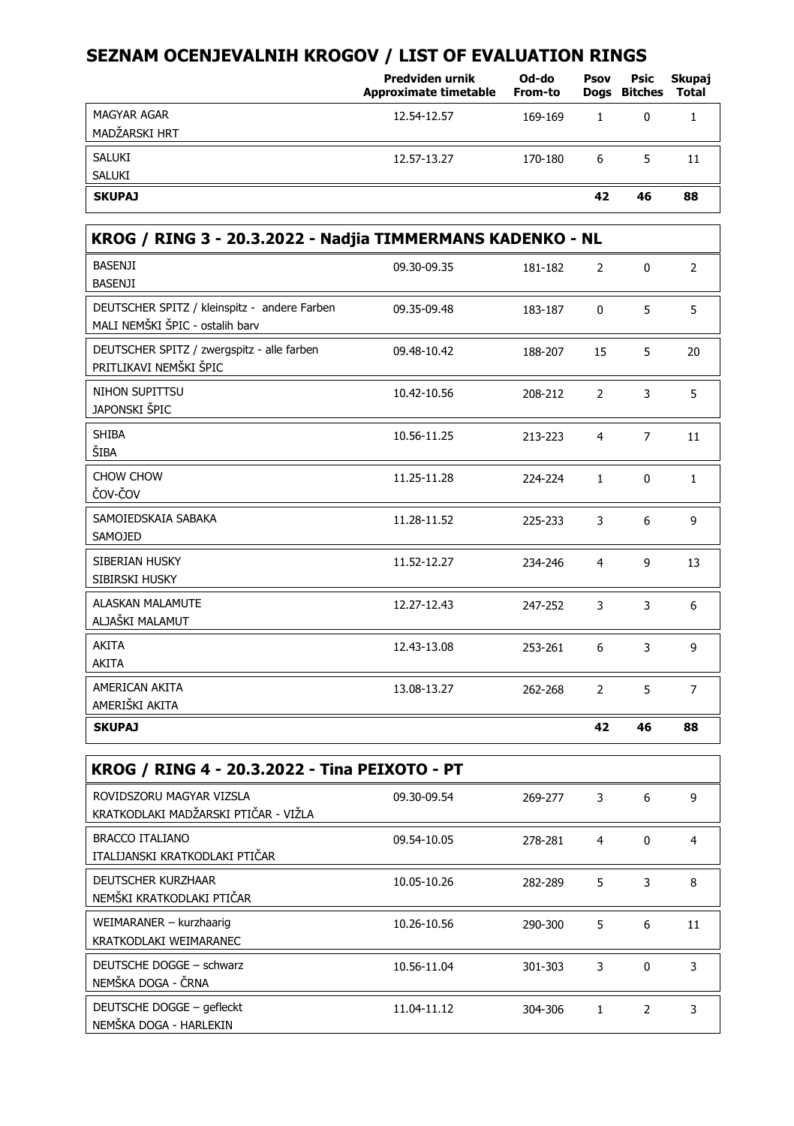|                                     | Predviden urnik<br><b>Approximate timetable</b> | Od-do<br>From-to | Psov | Psic<br>Dogs Bitches | Skupaj<br>Total |
|-------------------------------------|-------------------------------------------------|------------------|------|----------------------|-----------------|
| <b>MAGYAR AGAR</b><br>MADŽARSKI HRT | 12.54-12.57                                     | 169-169          |      | $\Omega$             |                 |
| SALUKI<br><b>SALUKI</b>             | 12.57-13.27                                     | 170-180          | 6    | 5                    | 11              |
| <b>SKUPAJ</b>                       |                                                 |                  | 42   | 46                   | 88              |

| KROG / RING 3 - 20.3.2022 - Nadjia TIMMERMANS KADENKO - NL                      |             |         |                |                |                |  |  |
|---------------------------------------------------------------------------------|-------------|---------|----------------|----------------|----------------|--|--|
| <b>BASENJI</b><br><b>BASENJI</b>                                                | 09.30-09.35 | 181-182 | 2              | $\mathbf 0$    | $\overline{2}$ |  |  |
| DEUTSCHER SPITZ / kleinspitz - andere Farben<br>MALI NEMŠKI ŠPIC - ostalih barv | 09.35-09.48 | 183-187 | $\mathbf 0$    | 5              | 5              |  |  |
| DEUTSCHER SPITZ / zwergspitz - alle farben<br>PRITLIKAVI NEMŠKI ŠPIC            | 09.48-10.42 | 188-207 | 15             | 5              | 20             |  |  |
| NIHON SUPITTSU<br>JAPONSKI ŠPIC                                                 | 10.42-10.56 | 208-212 | $\overline{2}$ | 3              | 5              |  |  |
| <b>SHIBA</b><br>ŠIBA                                                            | 10.56-11.25 | 213-223 | $\overline{4}$ | $\overline{7}$ | 11             |  |  |
| CHOW CHOW<br>ČOV-ČOV                                                            | 11.25-11.28 | 224-224 | $\mathbf{1}$   | $\mathbf 0$    | $\mathbf{1}$   |  |  |
| SAMOIEDSKAIA SABAKA<br>SAMOJED                                                  | 11.28-11.52 | 225-233 | 3              | 6              | 9              |  |  |
| SIBERIAN HUSKY<br>SIBIRSKI HUSKY                                                | 11.52-12.27 | 234-246 | $\overline{4}$ | 9              | 13             |  |  |
| <b>ALASKAN MALAMUTE</b><br>ALJAŠKI MALAMUT                                      | 12.27-12.43 | 247-252 | 3              | 3              | 6              |  |  |
| <b>AKITA</b><br>AKITA                                                           | 12.43-13.08 | 253-261 | 6              | 3              | 9              |  |  |
| AMERICAN AKITA<br>AMERIŠKI AKITA                                                | 13.08-13.27 | 262-268 | $\overline{2}$ | 5              | $\overline{7}$ |  |  |
| <b>SKUPAJ</b>                                                                   |             |         | 42             | 46             | 88             |  |  |
|                                                                                 |             |         |                |                |                |  |  |

| KROG / RING 4 - 20.3.2022 - Tina PEIXOTO - PT                    |             |         |              |          |    |  |  |
|------------------------------------------------------------------|-------------|---------|--------------|----------|----|--|--|
| ROVIDSZORU MAGYAR VIZSLA<br>KRATKODLAKI MADŽARSKI PTIČAR - VIŽLA | 09.30-09.54 | 269-277 | 3            | 6        | 9  |  |  |
| <b>BRACCO ITALIANO</b><br>ITALIJANSKI KRATKODLAKI PTIČAR         | 09.54-10.05 | 278-281 | 4            | 0        | 4  |  |  |
| <b>DEUTSCHER KURZHAAR</b><br>NEMŠKI KRATKODLAKI PTIČAR           | 10.05-10.26 | 282-289 | 5            | 3        | 8  |  |  |
| WEIMARANER - kurzhaarig<br>KRATKODLAKI WEIMARANEC                | 10.26-10.56 | 290-300 | 5            | 6        | 11 |  |  |
| DEUTSCHE DOGGE - schwarz<br>NEMŠKA DOGA - ČRNA                   | 10.56-11.04 | 301-303 | 3            | $\Omega$ | 3  |  |  |
| DEUTSCHE DOGGE - gefleckt<br>NEMŠKA DOGA - HARLEKIN              | 11.04-11.12 | 304-306 | $\mathbf{1}$ | 2        | 3  |  |  |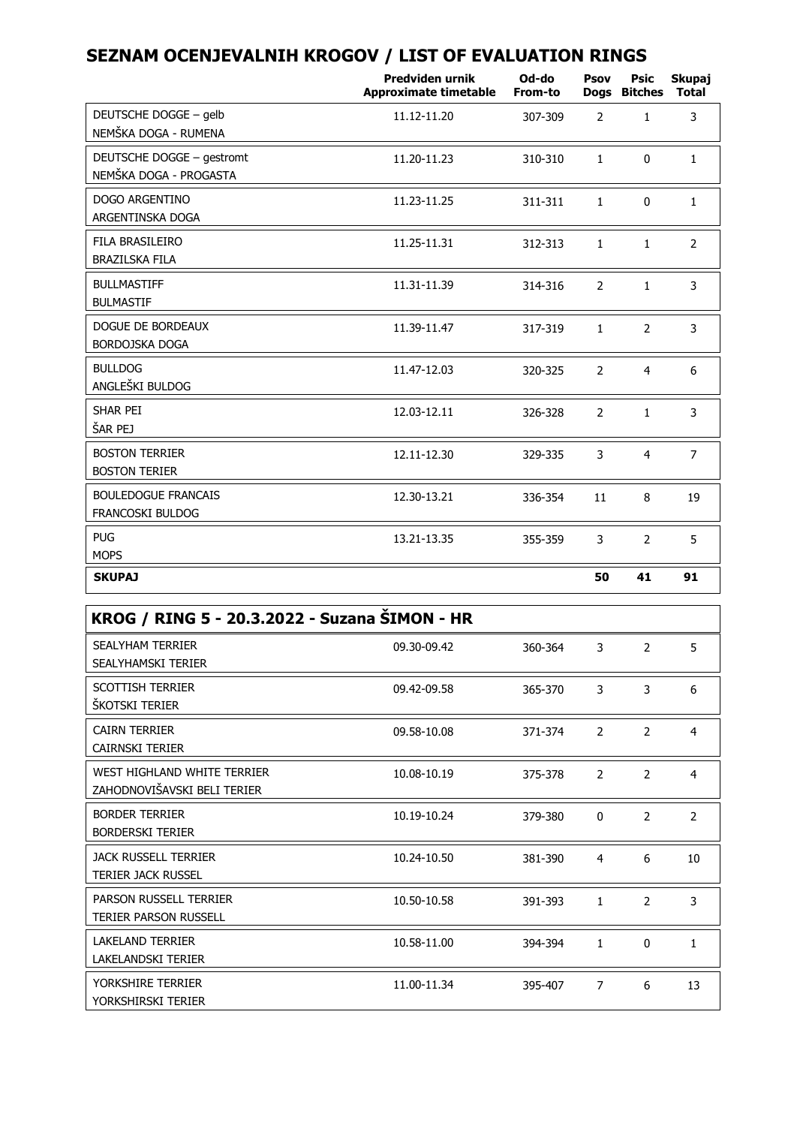|                                                       | <b>Predviden urnik</b><br><b>Approximate timetable</b> | Od-do<br>From-to | Psov           | Psic<br>Dogs Bitches | Skupaj<br><b>Total</b> |
|-------------------------------------------------------|--------------------------------------------------------|------------------|----------------|----------------------|------------------------|
| DEUTSCHE DOGGE - gelb<br>NEMŠKA DOGA - RUMENA         | 11.12-11.20                                            | 307-309          | $\overline{2}$ | $\mathbf{1}$         | 3                      |
| DEUTSCHE DOGGE - gestromt<br>NEMŠKA DOGA - PROGASTA   | 11.20-11.23                                            | 310-310          | $\mathbf{1}$   | $\mathbf{0}$         | $\mathbf{1}$           |
| DOGO ARGENTINO<br>ARGENTINSKA DOGA                    | 11.23-11.25                                            | 311-311          | $\mathbf{1}$   | $\mathbf{0}$         | $\mathbf{1}$           |
| FILA BRASILEIRO<br><b>BRAZILSKA FILA</b>              | 11.25-11.31                                            | 312-313          | $\mathbf{1}$   | $\mathbf{1}$         | $\overline{2}$         |
| <b>BULLMASTIFF</b><br><b>BULMASTIF</b>                | 11.31-11.39                                            | 314-316          | $\overline{2}$ | $\mathbf{1}$         | 3                      |
| DOGUE DE BORDEAUX<br>BORDOJSKA DOGA                   | 11.39-11.47                                            | 317-319          | $\mathbf{1}$   | $\overline{2}$       | 3                      |
| <b>BULLDOG</b><br>ANGLEŠKI BULDOG                     | 11.47-12.03                                            | 320-325          | $\overline{2}$ | $\overline{4}$       | 6                      |
| SHAR PEI<br>ŠAR PEJ                                   | 12.03-12.11                                            | 326-328          | $\overline{2}$ | $\mathbf{1}$         | 3                      |
| <b>BOSTON TERRIER</b><br><b>BOSTON TERIER</b>         | 12.11-12.30                                            | 329-335          | 3              | $\overline{4}$       | $\overline{7}$         |
| <b>BOULEDOGUE FRANCAIS</b><br><b>FRANCOSKI BULDOG</b> | 12.30-13.21                                            | 336-354          | 11             | 8                    | 19                     |
| <b>PUG</b><br><b>MOPS</b>                             | 13.21-13.35                                            | 355-359          | 3              | $\overline{2}$       | 5                      |
| <b>SKUPAJ</b>                                         |                                                        |                  | 50             | 41                   | 91                     |

| KROG / RING 5 - 20.3.2022 - Suzana SIMON - HR              |             |         |              |                |                |
|------------------------------------------------------------|-------------|---------|--------------|----------------|----------------|
| <b>SEALYHAM TERRIER</b><br>SEALYHAMSKI TERIER              | 09.30-09.42 | 360-364 | 3            | 2              | 5              |
| <b>SCOTTISH TERRIER</b><br>ŠKOTSKI TERIER                  | 09.42-09.58 | 365-370 | 3            | 3              | 6              |
| <b>CAIRN TERRIER</b><br><b>CAIRNSKI TERIER</b>             | 09.58-10.08 | 371-374 | 2            | $\overline{2}$ | 4              |
| WEST HIGHLAND WHITE TERRIER<br>ZAHODNOVIŠAVSKI BELI TERIER | 10.08-10.19 | 375-378 | 2            | $\mathcal{P}$  | 4              |
| <b>BORDER TERRIER</b><br><b>BORDERSKI TERIER</b>           | 10.19-10.24 | 379-380 | $\Omega$     | $\mathcal{P}$  | $\overline{2}$ |
| <b>JACK RUSSELL TERRIER</b><br><b>TERIER JACK RUSSEL</b>   | 10.24-10.50 | 381-390 | 4            | 6              | 10             |
| PARSON RUSSELL TERRIER<br><b>TERIER PARSON RUSSELL</b>     | 10.50-10.58 | 391-393 | 1            | $\overline{2}$ | 3              |
| <b>LAKELAND TERRIER</b><br><b>LAKELANDSKI TERIER</b>       | 10.58-11.00 | 394-394 | $\mathbf{1}$ | 0              | 1              |
| YORKSHIRE TERRIER<br>YORKSHIRSKI TERIER                    | 11.00-11.34 | 395-407 | 7            | 6              | 13             |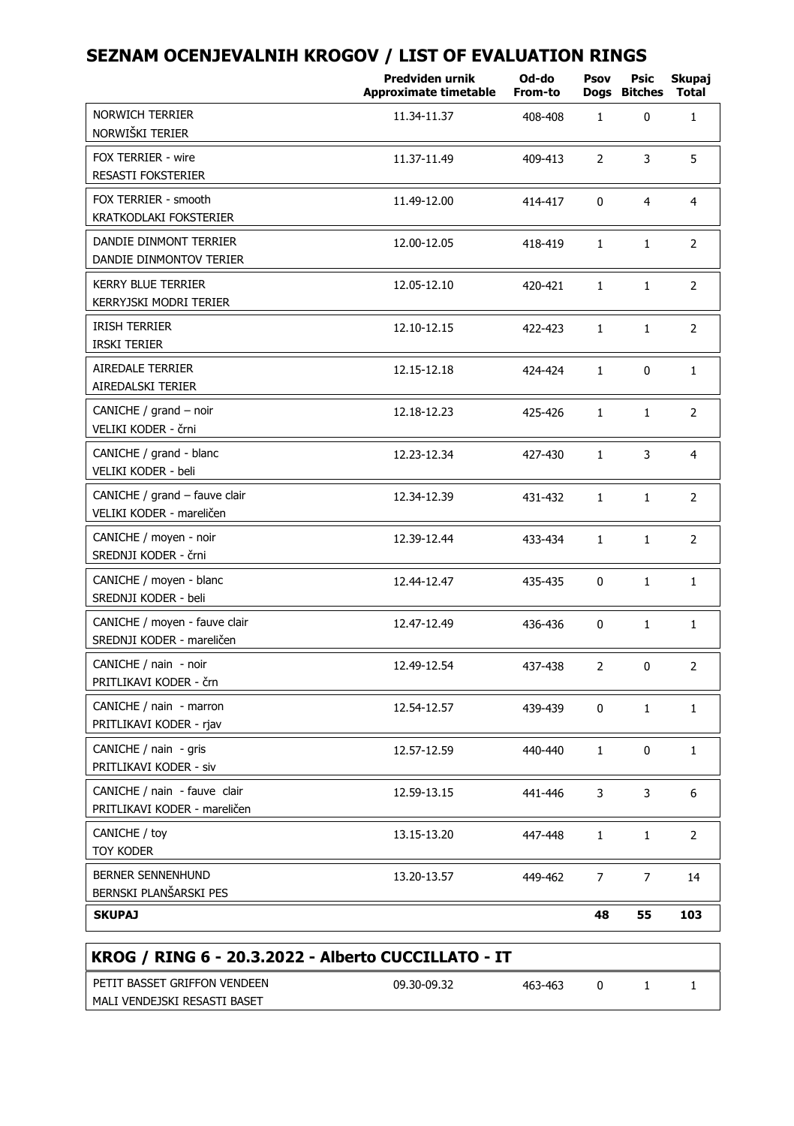| <b>NORWICH TERRIER</b><br>NORWIŠKI TERIER<br>FOX TERRIER - wire | 11.34-11.37 | 408-408 |                |                |                |
|-----------------------------------------------------------------|-------------|---------|----------------|----------------|----------------|
|                                                                 |             |         | $\mathbf{1}$   | 0              | $\mathbf{1}$   |
| <b>RESASTI FOKSTERIER</b>                                       | 11.37-11.49 | 409-413 | $\overline{2}$ | 3              | 5              |
| FOX TERRIER - smooth<br>KRATKODLAKI FOKSTERIER                  | 11.49-12.00 | 414-417 | 0              | $\overline{4}$ | $\overline{4}$ |
| DANDIE DINMONT TERRIER<br>DANDIE DINMONTOV TERIER               | 12.00-12.05 | 418-419 | $\mathbf{1}$   | $\mathbf{1}$   | $\overline{2}$ |
| <b>KERRY BLUE TERRIER</b><br>KERRYJSKI MODRI TERIER             | 12.05-12.10 | 420-421 | $\mathbf{1}$   | $\mathbf{1}$   | 2              |
| <b>IRISH TERRIER</b><br><b>IRSKI TERIER</b>                     | 12.10-12.15 | 422-423 | $\mathbf{1}$   | $\mathbf{1}$   | $\overline{2}$ |
| <b>AIREDALE TERRIER</b><br>AIREDALSKI TERIER                    | 12.15-12.18 | 424-424 | 1              | 0              | $\mathbf{1}$   |
| CANICHE / grand - noir<br>VELIKI KODER - črni                   | 12.18-12.23 | 425-426 | $\mathbf{1}$   | $\mathbf{1}$   | 2              |
| CANICHE / grand - blanc<br>VELIKI KODER - beli                  | 12.23-12.34 | 427-430 | $\mathbf{1}$   | 3              | $\overline{4}$ |
| CANICHE / grand - fauve clair<br>VELIKI KODER - mareličen       | 12.34-12.39 | 431-432 | $\mathbf{1}$   | $\mathbf{1}$   | $\overline{2}$ |
| CANICHE / moyen - noir<br>SREDNJI KODER - črni                  | 12.39-12.44 | 433-434 | $\mathbf{1}$   | $\mathbf{1}$   | $\overline{2}$ |
| CANICHE / moyen - blanc<br>SREDNJI KODER - beli                 | 12.44-12.47 | 435-435 | $\Omega$       | $\mathbf{1}$   | $\mathbf{1}$   |
| CANICHE / moyen - fauve clair<br>SREDNJI KODER - mareličen      | 12.47-12.49 | 436-436 | $\Omega$       | $\mathbf{1}$   | $\mathbf{1}$   |
| CANICHE / nain - noir<br>PRITLIKAVI KODER - črn                 | 12.49-12.54 | 437-438 | 2              | 0              | $\overline{2}$ |
| CANICHE / nain - marron<br>PRITLIKAVI KODER - rjav              | 12.54-12.57 | 439-439 | 0              | $\mathbf{1}$   | $\mathbf{1}$   |
| CANICHE / nain - gris<br>PRITLIKAVI KODER - siv                 | 12.57-12.59 | 440-440 | $\mathbf{1}$   | 0              | $\mathbf{1}$   |
| CANICHE / nain - fauve clair<br>PRITLIKAVI KODER - mareličen    | 12.59-13.15 | 441-446 | 3              | 3              | 6              |
| CANICHE / toy<br>TOY KODER                                      | 13.15-13.20 | 447-448 | 1              | $\mathbf{1}$   | 2              |
| <b>BERNER SENNENHUND</b><br>BERNSKI PLANŠARSKI PES              | 13.20-13.57 | 449-462 | 7              | 7              | 14             |
| <b>SKUPAJ</b>                                                   |             |         | 48             | 55             | 103            |

| PETIT BASSET GRIFFON VENDEEN | 09.30-09.32 | 463-463 |  |  |
|------------------------------|-------------|---------|--|--|
| MALI VENDEJSKI RESASTI BASET |             |         |  |  |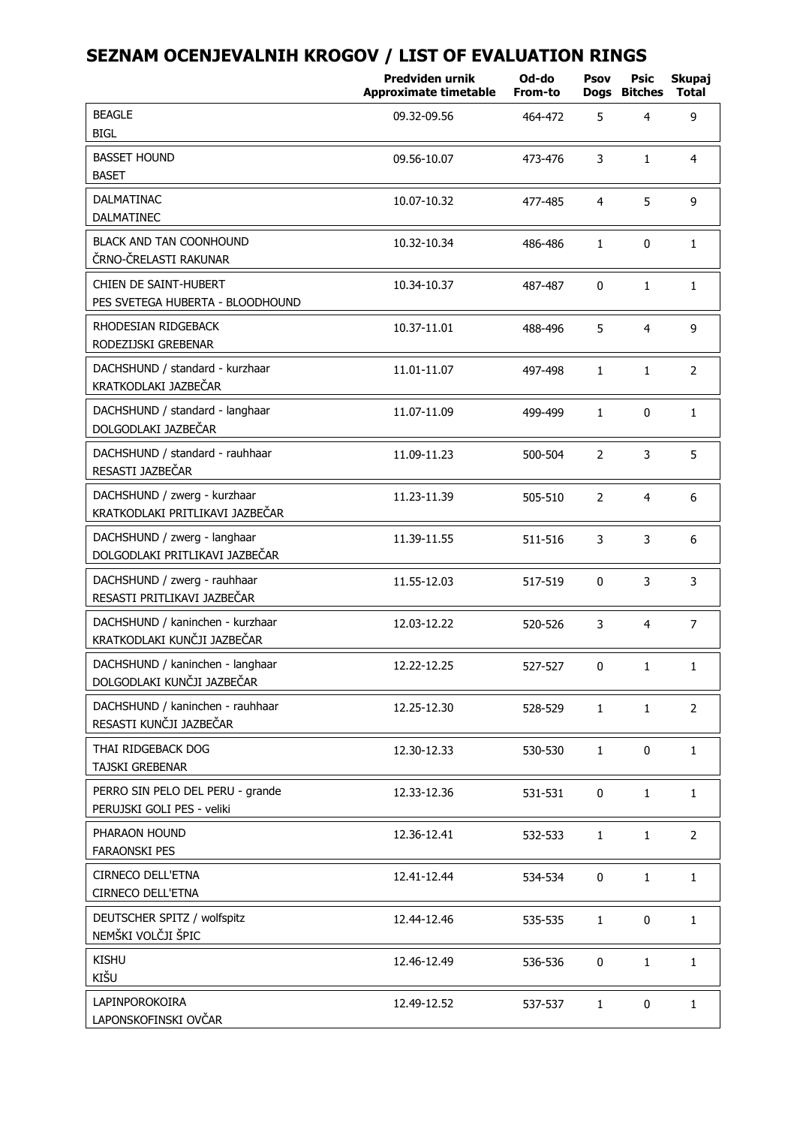|                                                                 | Predviden urnik<br><b>Approximate timetable</b> | Od-do<br>From-to | Psov<br>Dogs   | Psic<br><b>Bitches</b> | Skupaj<br>Total |
|-----------------------------------------------------------------|-------------------------------------------------|------------------|----------------|------------------------|-----------------|
| <b>BEAGLE</b><br><b>BIGL</b>                                    | 09.32-09.56                                     | 464-472          | 5              | $\overline{4}$         | 9               |
| <b>BASSET HOUND</b><br><b>BASET</b>                             | 09.56-10.07                                     | 473-476          | 3              | $\mathbf{1}$           | 4               |
| <b>DALMATINAC</b><br><b>DALMATINEC</b>                          | 10.07-10.32                                     | 477-485          | 4              | 5                      | 9               |
| BLACK AND TAN COONHOUND<br>ČRNO-ČRELASTI RAKUNAR                | 10.32-10.34                                     | 486-486          | $\mathbf{1}$   | $\mathbf{0}$           | $\mathbf{1}$    |
| CHIEN DE SAINT-HUBERT<br>PES SVETEGA HUBERTA - BLOODHOUND       | 10.34-10.37                                     | 487-487          | $\mathbf{0}$   | $\mathbf{1}$           | $\mathbf{1}$    |
| RHODESIAN RIDGEBACK<br>RODEZIJSKI GREBENAR                      | 10.37-11.01                                     | 488-496          | 5              | $\overline{4}$         | 9               |
| DACHSHUND / standard - kurzhaar<br>KRATKODLAKI JAZBEČAR         | 11.01-11.07                                     | 497-498          | $\mathbf{1}$   | $\mathbf{1}$           | $\overline{2}$  |
| DACHSHUND / standard - langhaar<br>DOLGODLAKI JAZBEČAR          | 11.07-11.09                                     | 499-499          | $\mathbf{1}$   | 0                      | $\mathbf{1}$    |
| DACHSHUND / standard - rauhhaar<br>RESASTI JAZBEČAR             | 11.09-11.23                                     | 500-504          | 2              | 3                      | 5               |
| DACHSHUND / zwerg - kurzhaar<br>KRATKODLAKI PRITLIKAVI JAZBEČAR | 11.23-11.39                                     | 505-510          | $\overline{2}$ | 4                      | 6               |
| DACHSHUND / zwerg - langhaar<br>DOLGODLAKI PRITLIKAVI JAZBEČAR  | 11.39-11.55                                     | 511-516          | 3              | 3                      | 6               |
| DACHSHUND / zwerg - rauhhaar<br>RESASTI PRITLIKAVI JAZBEČAR     | 11.55-12.03                                     | 517-519          | 0              | 3                      | 3               |
| DACHSHUND / kaninchen - kurzhaar<br>KRATKODLAKI KUNČJI JAZBEČAR | 12.03-12.22                                     | 520-526          | 3              | $\overline{4}$         | 7               |
| DACHSHUND / kaninchen - langhaar<br>DOLGODLAKI KUNČJI JAZBEČAR  | 12.22-12.25                                     | 527-527          | 0              | $\mathbf{1}$           | $\mathbf{1}$    |
| DACHSHUND / kaninchen - rauhhaar<br>RESASTI KUNČJI JAZBEČAR     | 12.25-12.30                                     | 528-529          | $\mathbf{1}$   | $\mathbf{1}$           | $\overline{2}$  |
| THAI RIDGEBACK DOG<br>TAJSKI GREBENAR                           | 12.30-12.33                                     | 530-530          | $\mathbf{1}$   | 0                      | 1               |
| PERRO SIN PELO DEL PERU - grande<br>PERUJSKI GOLI PES - veliki  | 12.33-12.36                                     | 531-531          | 0              | $\mathbf{1}$           | $\mathbf{1}$    |
| PHARAON HOUND<br><b>FARAONSKI PES</b>                           | 12.36-12.41                                     | 532-533          | $\mathbf{1}$   | $\mathbf{1}$           | 2               |
| CIRNECO DELL'ETNA<br>CIRNECO DELL'ETNA                          | 12.41-12.44                                     | 534-534          | 0              | $\mathbf{1}$           | 1               |
| DEUTSCHER SPITZ / wolfspitz<br>NEMŠKI VOLČJI ŠPIC               | 12.44-12.46                                     | 535-535          | $\mathbf{1}$   | 0                      | $\mathbf{1}$    |
| <b>KISHU</b><br>KIŠU                                            | 12.46-12.49                                     | 536-536          | $\mathbf 0$    | $\mathbf{1}$           | $\mathbf 1$     |
| LAPINPOROKOIRA<br>LAPONSKOFINSKI OVČAR                          | 12.49-12.52                                     | 537-537          | $\mathbf{1}$   | 0                      | $\mathbf{1}$    |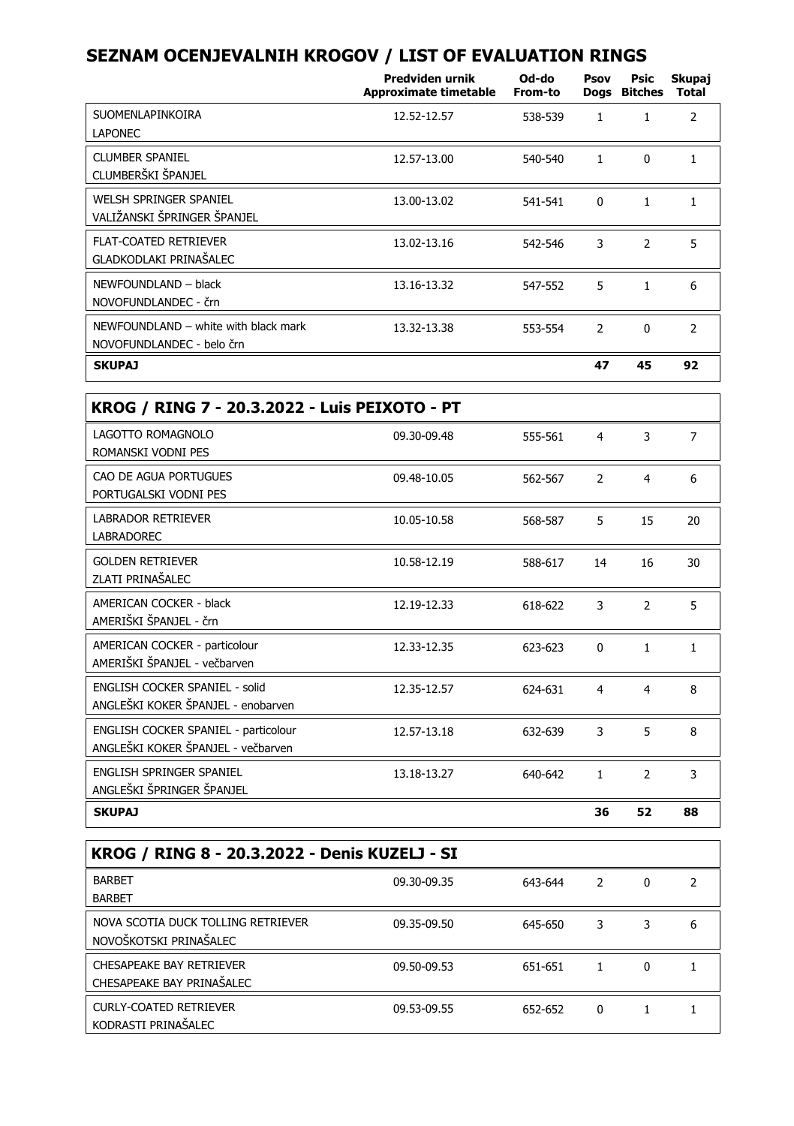|                                                                             | Predviden urnik<br>Approximate timetable | Od-do<br>From-to | Psov           | Psic<br><b>Doas Bitches</b> | Skupaj<br><b>Total</b> |
|-----------------------------------------------------------------------------|------------------------------------------|------------------|----------------|-----------------------------|------------------------|
| SUOMENLAPINKOIRA<br><b>LAPONEC</b>                                          | 12.52-12.57                              | 538-539          | $\mathbf{1}$   | $\mathbf{1}$                | $\overline{2}$         |
| <b>CLUMBER SPANIEL</b><br>CLUMBERŠKI ŠPANJEL                                | 12.57-13.00                              | 540-540          | $\mathbf{1}$   | 0                           | $\mathbf{1}$           |
| WELSH SPRINGER SPANIEL<br>VALIŽANSKI ŠPRINGER ŠPANJEL                       | 13.00-13.02                              | 541-541          | $\mathbf 0$    | $\mathbf{1}$                | $\mathbf{1}$           |
| <b>FLAT-COATED RETRIEVER</b><br>GLADKODLAKI PRINAŠALEC                      | 13.02-13.16                              | 542-546          | 3              | $\overline{2}$              | 5                      |
| NEWFOUNDLAND - black<br>NOVOFUNDLANDEC - črn                                | 13.16-13.32                              | 547-552          | 5              | $\mathbf{1}$                | 6                      |
| NEWFOUNDLAND - white with black mark<br>NOVOFUNDLANDEC - belo črn           | 13.32-13.38                              | 553-554          | 2              | 0                           | 2                      |
| <b>SKUPAJ</b>                                                               |                                          |                  | 47             | 45                          | 92                     |
| KROG / RING 7 - 20.3.2022 - Luis PEIXOTO - PT                               |                                          |                  |                |                             |                        |
| LAGOTTO ROMAGNOLO<br>ROMANSKI VODNI PES                                     | 09.30-09.48                              | 555-561          | 4              | 3                           | $\overline{7}$         |
| CAO DE AGUA PORTUGUES<br>PORTUGALSKI VODNI PES                              | 09.48-10.05                              | 562-567          | $\overline{2}$ | $\overline{4}$              | 6                      |
| <b>LABRADOR RETRIEVER</b><br><b>LABRADOREC</b>                              | 10.05-10.58                              | 568-587          | 5              | 15                          | 20                     |
| <b>GOLDEN RETRIEVER</b><br>ZLATI PRINAŠALEC                                 | 10.58-12.19                              | 588-617          | 14             | 16                          | 30                     |
| <b>AMERICAN COCKER - black</b><br>AMERIŠKI ŠPANJEL - črn                    | 12.19-12.33                              | 618-622          | 3              | $\overline{2}$              | 5                      |
| AMERICAN COCKER - particolour<br>AMERIŠKI ŠPANJEL - večbarven               | 12.33-12.35                              | 623-623          | $\mathbf 0$    | $\mathbf{1}$                | $\mathbf{1}$           |
| <b>ENGLISH COCKER SPANIEL - solid</b><br>ANGLEŠKI KOKER ŠPANJEL - enobarven | 12.35-12.57                              | 624-631          | 4              | $\overline{4}$              | 8                      |
| ENGLISH COCKER SPANIEL - particolour<br>ANGLEŠKI KOKER ŠPANJEL - večbarven  | 12.57-13.18                              | 632-639          | 3              | 5                           | 8                      |
| ENGLISH SPRINGER SPANIEL<br>ANGLEŠKI ŠPRINGER ŠPANJEL                       | 13.18-13.27                              | 640-642          | $\mathbf{1}$   | 2                           | 3                      |
| <b>SKUPAJ</b>                                                               |                                          |                  | 36             | 52                          | 88                     |

| KROG / RING 8 - 20.3.2022 - Denis KUZELJ - SI                |             |         |          |   |   |  |  |  |
|--------------------------------------------------------------|-------------|---------|----------|---|---|--|--|--|
| <b>BARBET</b><br><b>BARBET</b>                               | 09.30-09.35 | 643-644 | 2        | 0 | 7 |  |  |  |
| NOVA SCOTIA DUCK TOLLING RETRIEVER<br>NOVOŠKOTSKI PRINAŠALEC | 09.35-09.50 | 645-650 | 3        | 3 | 6 |  |  |  |
| CHESAPEAKE BAY RETRIEVER<br>CHESAPEAKE BAY PRINAŠALEC        | 09.50-09.53 | 651-651 |          | 0 |   |  |  |  |
| CURLY-COATED RETRIEVER<br>KODRASTI PRINAŠALEC                | 09.53-09.55 | 652-652 | $\Omega$ |   |   |  |  |  |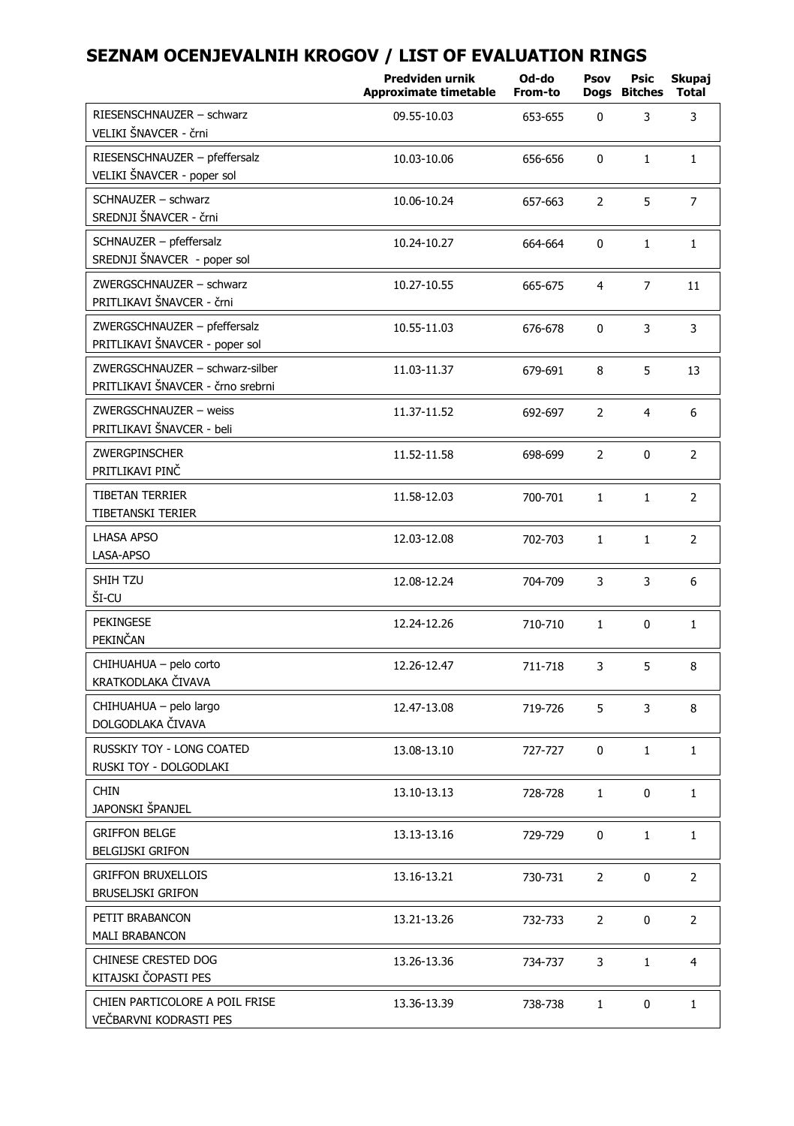|                                                                      | Predviden urnik<br><b>Approximate timetable</b> | Od-do<br>From-to | Psov<br>Dogs   | Psic<br><b>Bitches</b> | Skupaj<br>Total |
|----------------------------------------------------------------------|-------------------------------------------------|------------------|----------------|------------------------|-----------------|
| RIESENSCHNAUZER - schwarz<br>VELIKI ŠNAVCER - črni                   | 09.55-10.03                                     | 653-655          | 0              | 3                      | 3               |
| RIESENSCHNAUZER - pfeffersalz<br>VELIKI ŠNAVCER - poper sol          | 10.03-10.06                                     | 656-656          | 0              | $\mathbf{1}$           | $\mathbf{1}$    |
| SCHNAUZER - schwarz<br>SREDNJI ŠNAVCER - črni                        | 10.06-10.24                                     | 657-663          | $\overline{2}$ | 5                      | $\overline{7}$  |
| SCHNAUZER - pfeffersalz<br>SREDNJI ŠNAVCER - poper sol               | 10.24-10.27                                     | 664-664          | 0              | $\mathbf{1}$           | $\mathbf{1}$    |
| ZWERGSCHNAUZER - schwarz<br>PRITLIKAVI ŠNAVCER - črni                | 10.27-10.55                                     | 665-675          | $\overline{4}$ | 7                      | 11              |
| ZWERGSCHNAUZER - pfeffersalz<br>PRITLIKAVI ŠNAVCER - poper sol       | 10.55-11.03                                     | 676-678          | 0              | 3                      | 3               |
| ZWERGSCHNAUZER - schwarz-silber<br>PRITLIKAVI ŠNAVCER - črno srebrni | 11.03-11.37                                     | 679-691          | 8              | 5                      | 13              |
| ZWERGSCHNAUZER - weiss<br>PRITLIKAVI ŠNAVCER - beli                  | 11.37-11.52                                     | 692-697          | $\overline{2}$ | $\overline{4}$         | 6               |
| ZWERGPINSCHER<br>PRITLIKAVI PINČ                                     | 11.52-11.58                                     | 698-699          | $\overline{2}$ | 0                      | $\overline{2}$  |
| <b>TIBETAN TERRIER</b><br>TIBETANSKI TERIER                          | 11.58-12.03                                     | 700-701          | $\mathbf{1}$   | $\mathbf{1}$           | $\overline{2}$  |
| <b>LHASA APSO</b><br>LASA-APSO                                       | 12.03-12.08                                     | 702-703          | $\mathbf{1}$   | $\mathbf{1}$           | $\overline{2}$  |
| SHIH TZU<br>ŠI-CU                                                    | 12.08-12.24                                     | 704-709          | 3              | 3                      | 6               |
| PEKINGESE<br>PEKINČAN                                                | 12.24-12.26                                     | 710-710          | $\mathbf{1}$   | $\mathbf{0}$           | $\mathbf{1}$    |
| CHIHUAHUA - pelo corto<br>KRATKODLAKA ČIVAVA                         | 12.26-12.47                                     | 711-718          | 3              | 5                      | 8               |
| CHIHUAHUA - pelo largo<br>DOLGODLAKA ČIVAVA                          | 12.47-13.08                                     | 719-726          | 5              | 3                      | 8               |
| <b>RUSSKIY TOY - LONG COATED</b><br>RUSKI TOY - DOLGODLAKI           | 13.08-13.10                                     | 727-727          | 0              | $\mathbf{1}$           | $\mathbf{1}$    |
| <b>CHIN</b><br>JAPONSKI ŠPANJEL                                      | 13.10-13.13                                     | 728-728          | $1\,$          | $\mathbf{0}$           | $\mathbf 1$     |
| <b>GRIFFON BELGE</b><br><b>BELGIJSKI GRIFON</b>                      | 13.13-13.16                                     | 729-729          | 0              | $\mathbf{1}$           | $\mathbf 1$     |
| <b>GRIFFON BRUXELLOIS</b><br><b>BRUSELJSKI GRIFON</b>                | 13.16-13.21                                     | 730-731          | $\overline{2}$ | 0                      | $\overline{2}$  |
| PETIT BRABANCON<br><b>MALI BRABANCON</b>                             | 13.21-13.26                                     | 732-733          | $\overline{2}$ | 0                      | $\overline{2}$  |
| CHINESE CRESTED DOG<br>KITAJSKI ČOPASTI PES                          | 13.26-13.36                                     | 734-737          | 3              | $\mathbf{1}$           | $\overline{4}$  |
| CHIEN PARTICOLORE A POIL FRISE<br>VEČBARVNI KODRASTI PES             | 13.36-13.39                                     | 738-738          | $\mathbf{1}$   | 0                      | $1\,$           |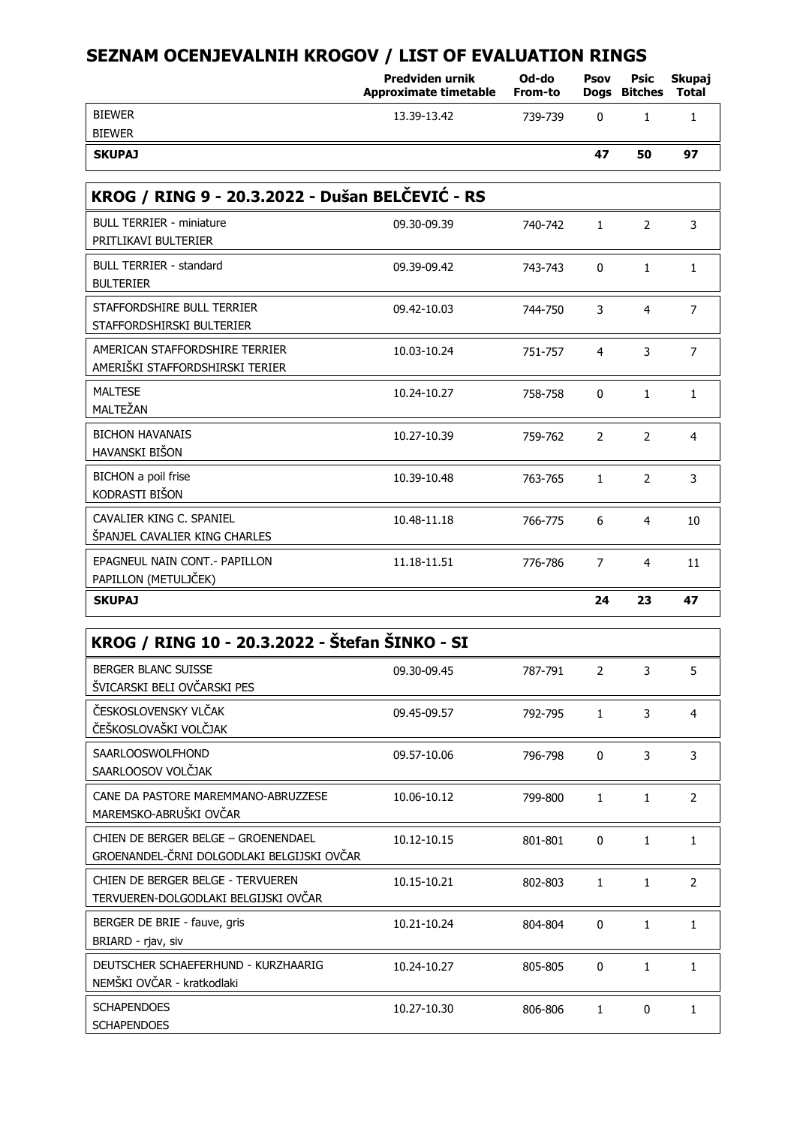|                                                                   | Predviden urnik<br><b>Approximate timetable</b> | Od-do<br>From-to | Psov           | Psic<br>Dogs Bitches | Skupaj<br><b>Total</b> |  |
|-------------------------------------------------------------------|-------------------------------------------------|------------------|----------------|----------------------|------------------------|--|
| <b>BIEWER</b>                                                     | 13.39-13.42                                     | 739-739          | 0              | $\mathbf{1}$         | $\mathbf{1}$           |  |
| <b>BIEWER</b>                                                     |                                                 |                  |                |                      |                        |  |
| <b>SKUPAJ</b>                                                     |                                                 |                  | 47             | 50                   | 97                     |  |
| KROG / RING 9 - 20.3.2022 - Dušan BELČEVIĆ - RS                   |                                                 |                  |                |                      |                        |  |
| <b>BULL TERRIER - miniature</b><br>PRITLIKAVI BULTERIER           | 09.30-09.39                                     | 740-742          | $\mathbf{1}$   | $\overline{2}$       | $\overline{3}$         |  |
| <b>BULL TERRIER - standard</b><br><b>BULTERIER</b>                | 09.39-09.42                                     | 743-743          | $\mathbf{0}$   | $\mathbf{1}$         | $\mathbf{1}$           |  |
| STAFFORDSHIRE BULL TERRIER<br>STAFFORDSHIRSKI BULTERIER           | 09.42-10.03                                     | 744-750          | 3              | $\overline{4}$       | $\overline{7}$         |  |
| AMERICAN STAFFORDSHIRE TERRIER<br>AMERIŠKI STAFFORDSHIRSKI TERIER | 10.03-10.24                                     | 751-757          | $\overline{4}$ | 3                    | $\overline{7}$         |  |
| <b>MALTESE</b><br>MALTEŽAN                                        | 10.24-10.27                                     | 758-758          | $\Omega$       | $\mathbf{1}$         | $\mathbf{1}$           |  |
| <b>BICHON HAVANAIS</b><br>HAVANSKI BIŠON                          | 10.27-10.39                                     | 759-762          | $\overline{2}$ | $\overline{2}$       | $\overline{4}$         |  |
| BICHON a poil frise<br>KODRASTI BIŠON                             | 10.39-10.48                                     | 763-765          | $\mathbf{1}$   | $\overline{2}$       | 3                      |  |
| CAVALIER KING C. SPANIEL<br>ŠPANJEL CAVALIER KING CHARLES         | 10.48-11.18                                     | 766-775          | 6              | $\overline{4}$       | 10                     |  |
| EPAGNEUL NAIN CONT. - PAPILLON<br>PAPILLON (METULJČEK)            | 11.18-11.51                                     | 776-786          | $\overline{7}$ | $\overline{4}$       | 11                     |  |
| <b>SKUPAJ</b>                                                     |                                                 |                  | 24             | 23                   | 47                     |  |

| KROG / RING 10 - 20.3.2022 - Štefan ŠINKO - SI                                    |             |         |              |              |                |
|-----------------------------------------------------------------------------------|-------------|---------|--------------|--------------|----------------|
| <b>BERGER BLANC SUISSE</b><br>ŠVICARSKI BELI OVČARSKI PES                         | 09.30-09.45 | 787-791 | 2            | 3            | 5              |
| ČESKOSLOVENSKY VLČAK<br>ČEŠKOSLOVAŠKI VOLČJAK                                     | 09.45-09.57 | 792-795 | 1            | 3            | 4              |
| <b>SAARLOOSWOLFHOND</b><br>SAARLOOSOV VOLČJAK                                     | 09.57-10.06 | 796-798 | $\Omega$     | 3            | 3              |
| CANE DA PASTORE MAREMMANO-ABRUZZESE<br>MAREMSKO-ABRUŠKI OVČAR                     | 10.06-10.12 | 799-800 | $\mathbf{1}$ | $\mathbf{1}$ | $\overline{2}$ |
| CHIEN DE BERGER BELGE - GROENENDAEL<br>GROENANDEL-ČRNI DOLGODLAKI BELGIJSKI OVČAR | 10.12-10.15 | 801-801 | $\Omega$     | 1            | $\mathbf{1}$   |
| CHIEN DE BERGER BELGE - TERVUEREN<br>TERVUEREN-DOLGODLAKI BELGIJSKI OVČAR         | 10.15-10.21 | 802-803 | $\mathbf{1}$ | 1            | $\overline{2}$ |
| BERGER DE BRIE - fauve, gris<br>BRIARD - rjav, siv                                | 10.21-10.24 | 804-804 | $\Omega$     | 1            | 1              |
| DEUTSCHER SCHAEFERHUND - KURZHAARIG<br>NEMŠKI OVČAR - kratkodlaki                 | 10.24-10.27 | 805-805 | 0            | 1            | 1              |
| <b>SCHAPENDOES</b><br><b>SCHAPENDOES</b>                                          | 10.27-10.30 | 806-806 | 1            | 0            | 1              |